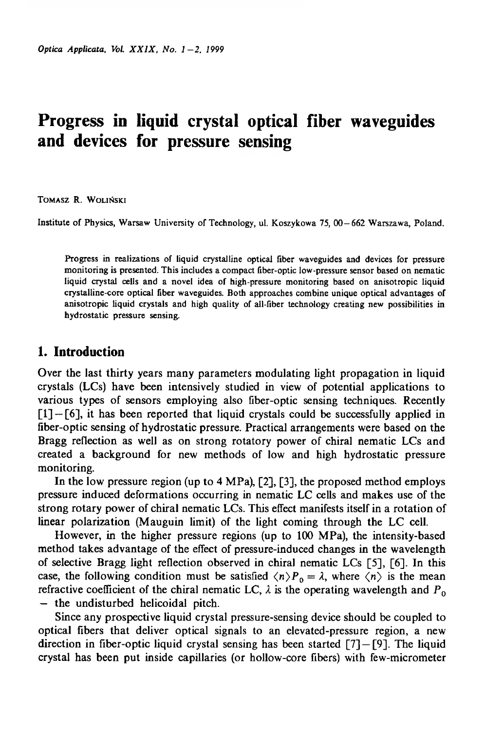# **Progress in liquid crystal optical fiber waveguides and devices for pressure sensing**

Tomasz R. Woliński

Institute of Physics, Warsaw University of Technology, uL Koszykowa 75, 00—662 Warszawa, Poland.

Progress in realizations of liquid crystalline optical fiber waveguides and devices for pressure monitoring is presented. This includes a compact fiber-optic low-pressure sensor based on nematic liquid crystal cells and a novel idea of high-pressure monitoring based on anisotropic liquid crystalline-core optical fiber waveguides. Both approaches combine unique optical advantages of anisotropic liquid crystals and high quality of all-fiber technology creating new possibilities in hydrostatic pressure sensing.

### **1. Introduction**

Over the last thirty years many parameters modulating light propagation in liquid crystals (LCs) have been intensively studied in view of potential applications to various types of sensors employing also fiber-optic sensing techniques. Recently  $[1]$  – [6], it has been reported that liquid crystals could be successfully applied in fiber-optic sensing of hydrostatic pressure. Practical arrangements were based on the Bragg reflection as well as on strong rotatory power of chiral nematic LCs and created a background for new methods of low and high hydrostatic pressure monitoring.

In the low pressure region (up to 4 MPa), [2], [3], the proposed method employs pressure induced deformations occurring in nematic LC cells and makes use of the strong rotary power of chiral nematic LCs. This effect manifests itself in a rotation of linear polarization (Mauguin limit) of the light coming through the LC cell.

However, in the higher pressure regions (up to 100 MPa), the intensity-based method takes advantage of the effect of pressure-induced changes in the wavelength of selective Bragg light reflection observed in chiral nematic LCs [5], [6], In this case, the following condition must be satisfied  $\langle n \rangle P_0 = \lambda$ , where  $\langle n \rangle$  is the mean refractive coefficient of the chiral nematic LC,  $\lambda$  is the operating wavelength and  $P_0$ — the undisturbed helicoidal pitch.

Since any prospective liquid crystal pressure-sensing device should be coupled to optical fibers that deliver optical signals to an elevated-pressure region, a new direction in fiber-optic liquid crystal sensing has been started  $[7] - [9]$ . The liquid crystal has been put inside capillaries (or hollow-core fibers) with few-micrometer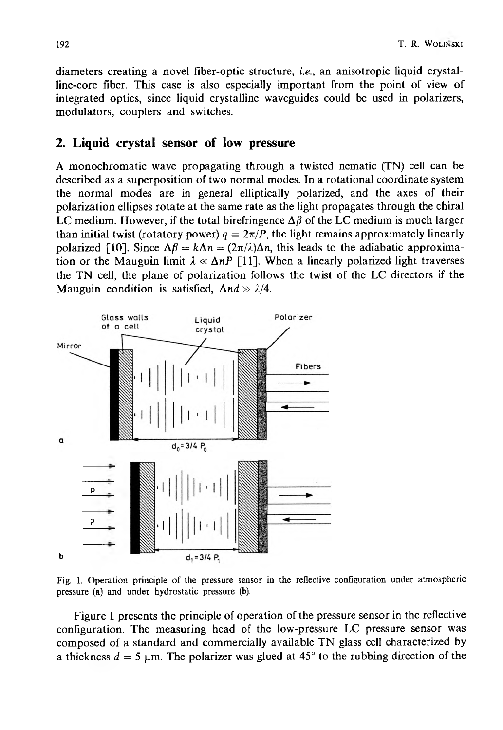diameters creating a novel fiber-optic structure, *i.e.,* an anisotropic liquid crystalline-core fiber. This case is also especially important from the point of view of integrated optics, since liquid crystalline waveguides could be used in polarizers, modulators, couplers and switches.

### **2. Liquid crystal sensor of low pressure**

A monochromatic wave propagating through a twisted nematic (TN) cell can be described as a superposition of two normal modes. In a rotational coordinate system the normal modes are in general elliptically polarized, and the axes of their polarization ellipses rotate at the same rate as the light propagates through the chiral LC medium. However, if the total birefringence  $\Delta \beta$  of the LC medium is much larger than initial twist (rotatory power)  $q = 2\pi/P$ , the light remains approximately linearly polarized [10]. Since  $\Delta \beta = k \Delta n = (2\pi/\lambda)\Delta n$ , this leads to the adiabatic approximation or the Mauguin limit  $\lambda \ll \Delta nP$  [11]. When a linearly polarized light traverses the TN cell, the plane of polarization follows the twist of the LC directors if the Mauguin condition is satisfied,  $\Delta nd \gg \lambda/4$ .



Fig. 1. Operation principle of the pressure sensor in the reflective configuration under atmospheric pressure (a) and under hydrostatic pressure (b).

Figure 1 presents the principle of operation of the pressure sensor in the reflective configuration. The measuring head of the low-pressure LC pressure sensor was composed of a standard and commercially available TN glass cell characterized by a thickness  $d = 5$  um. The polarizer was glued at  $45^{\circ}$  to the rubbing direction of the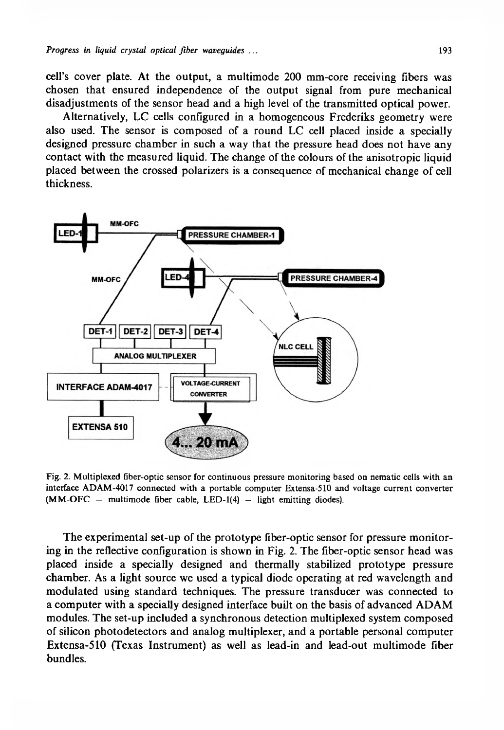cell's cover plate. At the output, a multimode 200 mm-core receiving fibers was chosen that ensured independence of the output signal from pure mechanical disadjustments of the sensor head and a high level of the transmitted optical power.

Alternatively, LC cells configured in a homogeneous Frederiks geometry were also used. The sensor is composed of a round LC cell placed inside a specially designed pressure chamber in such a way that the pressure head does not have any contact with the measured liquid. The change of the colours of the anisotropic liquid placed between the crossed polarizers is a consequence of mechanical change of cell thickness.



Fig. 2. Multiplexed fiber-optic sensor for continuous pressure monitoring based on nematic cells with an interface ADAM-4017 connected with a portable computer Extensa-510 and voltage current converter  $(MM-OFC - multimode fiber cable, LED-1(4) - light emitting diodes).$ 

The experimental set-up of the prototype fiber-optic sensor for pressure monitoring in the reflective configuration is shown in Fig. 2. The fiber-optic sensor head was placed inside a specially designed and thermally stabilized prototype pressure chamber. As a light source we used a typical diode operating at red wavelength and modulated using standard techniques. The pressure transducer was connected to a computer with a specially designed interface built on the basis of advanced ADAM modules. The set-up included a synchronous detection multiplexed system composed of silicon photodetectors and analog multiplexer, and a portable personal computer Extensa-510 (Texas Instrument) as well as lead-in and lead-out multimode fiber bundles.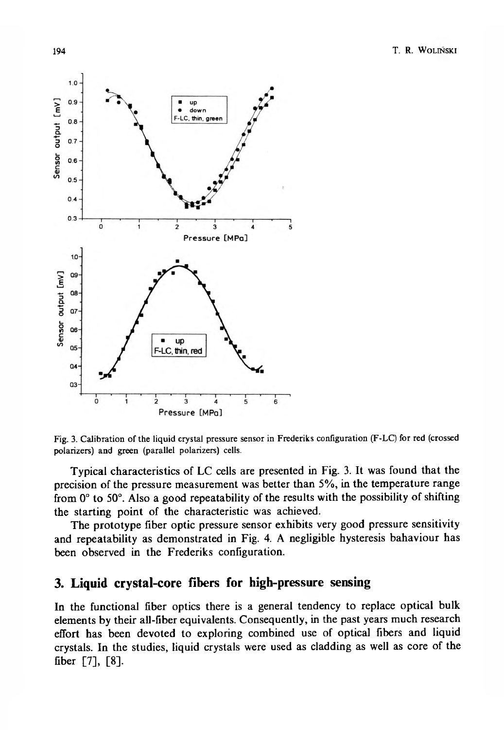



Typical characteristics of LC cells are presented in Fig. 3. It was found that the precision of the pressure measurement was better than 5%, in the temperature range from 0° to 50°. Also a good repeatability of the results with the possibility of shifting the starting point of the characteristic was achieved.

The prototype fiber optic pressure sensor exhibits very good pressure sensitivity and repeatability as demonstrated in Fig. 4. A negligible hysteresis bahaviour has been observed in the Frederiks configuration.

## **3. Liquid crystal-core fibers for high-pressure sensing**

In the functional fiber optics there is a general tendency to replace optical bulk elements by their all-fiber equivalents. Consequently, in the past years much research effort has been devoted to exploring combined use of optical fibers and liquid crystals. In the studies, liquid crystals were used as cladding as well as core of the fiber [7], [8],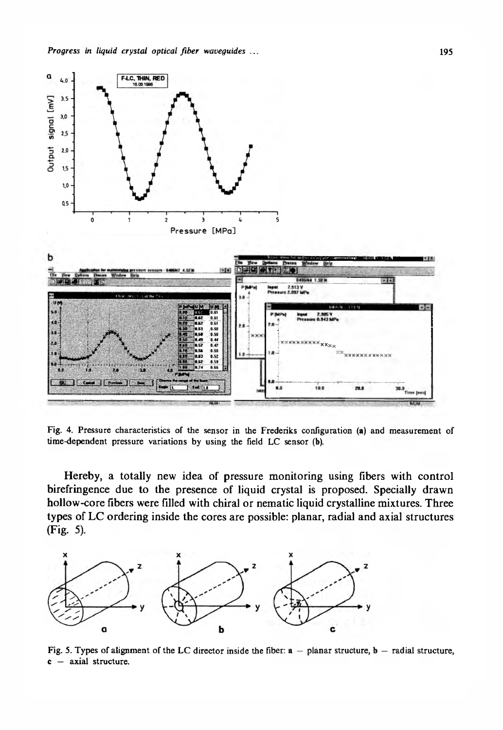

Fig. 4. Pressure characteristics of the sensor in the Frederiks configuration (a) and measurement of time-dependent pressure variations by using the field LC sensor (b).

Hereby, a totally new idea of pressure monitoring using fibers with control birefringence due to the presence of liquid crystal is proposed. Specially drawn hollow-core fibers were filled with chiral or nematic liquid crystalline mixtures. Three types of LC ordering inside the cores are possible: planar, radial and axial structures (Fig. 5).



Fig. 5. Types of alignment of the LC director inside the fiber:  $a$  – planar structure,  $b$  – radial structure, **c** — axial structure.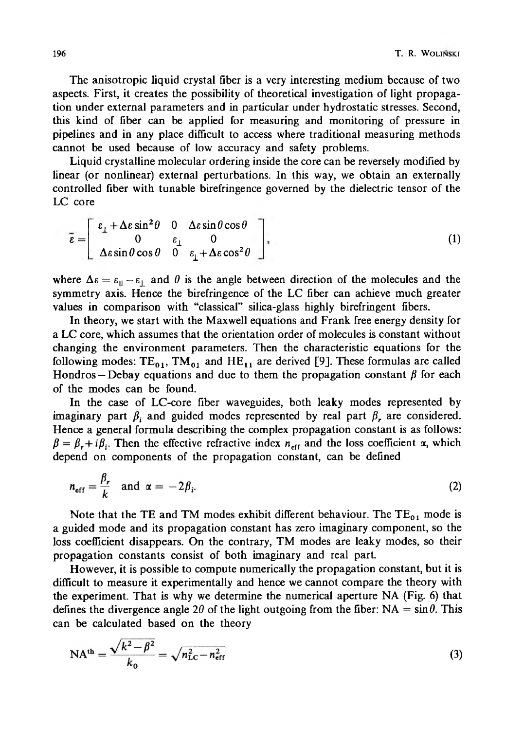The anisotropic liquid crystal fiber is a very interesting medium because of two aspects. First, it creates the possibility of theoretical investigation of light propagation under external parameters and in particular under hydrostatic stresses. Second, this kind of fiber can be applied for measuring and monitoring of pressure in pipelines and in any place difficult to access where traditional measuring methods cannot be used because of low accuracy and safety problems.

Liquid crystalline molecular ordering inside the core can be reversely modified by linear (or nonlinear) external perturbations. In this way, we obtain an externally controlled fiber with tunable birefringence governed by the dielectric tensor of the LC core

$$
\bar{\epsilon} = \begin{bmatrix} \epsilon_{\perp} + \Delta \epsilon \sin^2 \theta & 0 & \Delta \epsilon \sin \theta \cos \theta \\ 0 & \epsilon_{\perp} & 0 \\ \Delta \epsilon \sin \theta \cos \theta & 0 & \epsilon_{\perp} + \Delta \epsilon \cos^2 \theta \end{bmatrix},
$$
(1)

where  $\Delta \varepsilon = \varepsilon_{\parallel} - \varepsilon_{\perp}$  and  $\theta$  is the angle between direction of the molecules and the symmetry axis. Hence the birefringence of the LC fiber can achieve much greater values in comparison with "classical" silica-glass highly birefringent fibers.

In theory, we start with the Maxwell equations and Frank free energy density for a LC core, which assumes that the orientation order of molecules is constant without changing the environment parameters. Then the characteristic equations for the following modes:  $TE_{01}$ ,  $TM_{01}$  and  $HE_{11}$  are derived [9]. These formulas are called Hondros – Debay equations and due to them the propagation constant  $\beta$  for each of the modes can be found.

In the case of LC-core fiber waveguides, both leaky modes represented by imaginary part  $\beta_i$  and guided modes represented by real part  $\beta_r$ , are considered. Hence a general formula describing the complex propagation constant is as follows:  $\beta = \beta_r + i\beta_i$ . Then the effective refractive index  $n_{\text{eff}}$  and the loss coefficient  $\alpha$ , which depend on components of the propagation constant, can be defined

$$
n_{\text{eff}} = \frac{\beta_r}{k} \quad \text{and} \quad \alpha = -2\beta_i. \tag{2}
$$

Note that the TE and TM modes exhibit different behaviour. The  $TE_{01}$  mode is a guided mode and its propagation constant has zero imaginary component, so the loss coefficient disappears. On the contrary, TM modes are leaky modes, so their propagation constants consist of both imaginary and real part.

However, it is possible to compute numerically the propagation constant, but it is difficult to measure it experimentally and hence we cannot compare the theory with the experiment. That is why we determine the numerical aperture NA (Fig. 6) that defines the divergence angle 20 of the light outgoing from the fiber:  $NA = \sin \theta$ . This can be calculated based on the theory

$$
NAth = \frac{\sqrt{k^2 - \beta^2}}{k_0} = \sqrt{n_{LC}^2 - n_{eff}^2}
$$
 (3)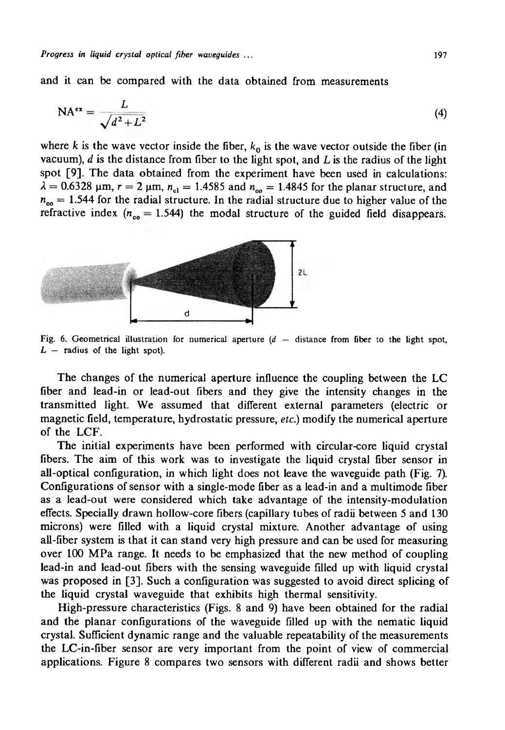and it can be compared with the data obtained from measurements

$$
NA^{ex} = \frac{L}{\sqrt{d^2 + L^2}}
$$
 (4)

where *k* is the wave vector inside the fiber,  $k_0$  is the wave vector outside the fiber (in vacuum), *d* is the distance from fiber to the light spot, and L is the radius of the light spot [9], The data obtained from the experiment have been used in calculations:  $\lambda = 0.6328$  µm,  $r = 2$  µm,  $n_{\text{cl}} = 1.4585$  and  $n_{\text{eq}} = 1.4845$  for the planar structure, and  $n_{\infty}$  = 1.544 for the radial structure. In the radial structure due to higher value of the refractive index ( $n_{\rm co} = 1.544$ ) the modal structure of the guided field disappears.



Fig. 6. Geometrical illustration for numerical aperture  $(d -$  distance from fiber to the light spot,  $L$  – radius of the light spot).

The changes of the numerical aperture influence the coupling between the LC fiber and lead-in or lead-out fibers and they give the intensity changes in the transmitted light. We assumed that different external parameters (electric or magnetic field, temperature, hydrostatic pressure, *etc.)* modify the numerical aperture of the LCF.

The initial experiments have been performed with circular-core liquid crystal fibers. The aim of this work was to investigate the liquid crystal fiber sensor in all-optical configuration, in which light does not leave the waveguide path (Fig. 7). Configurations of sensor with a single-mode fiber as a lead-in and a multimode fiber as a lead-out were considered which take advantage of the intensity-modulation effects. Specially drawn hollow-core fibers (capillary tubes of radii between 5 and 130 microns) were filled with a liquid crystal mixture. Another advantage of using all-fiber system is that it can stand very high pressure and can be used for measuring over 100 MPa range. It needs to be emphasized that the new method of coupling lead-in and lead-out fibers with the sensing waveguide filled up with liquid crystal was proposed in [3]. Such a configuration was suggested to avoid direct splicing of the liquid crystal waveguide that exhibits high thermal sensitivity.

High-pressure characteristics (Figs. 8 and 9) have been obtained for the radial and the planar configurations of the waveguide filled up with the nematic liquid crystal. Sufficient dynamic range and the valuable repeatability of the measurements the LC-in-fiber sensor are very important from the point of view of commercial applications. Figure 8 compares two sensors with different radii and shows better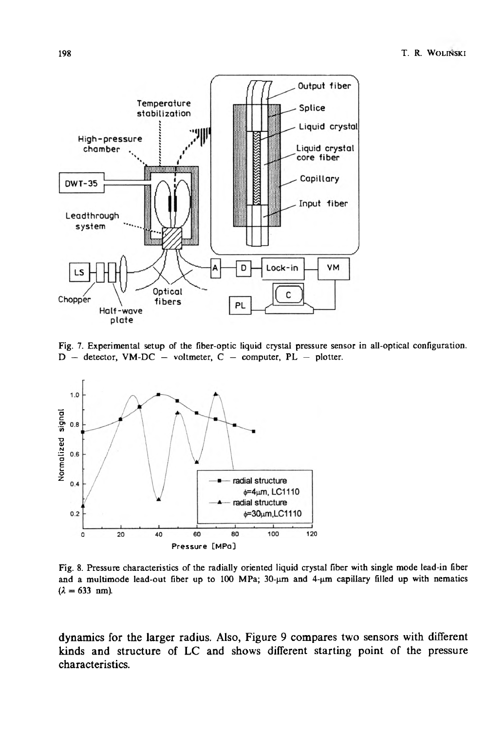

Fig. 7. Experimental setup of the fiber-optic liquid crystal pressure sensor in all-optical configuration.  $D -$  detector, VM-DC  $-$  voltmeter, C  $-$  computer, PL  $-$  plotter.



Fig. 8. Pressure characteristics of the radially oriented liquid crystal fiber with single mode lead-in fiber and a multimode lead-out fiber up to 100 MPa; 30- $\mu$ m and 4- $\mu$ m capillary filled up with nematics  $(\lambda = 633$  nm).

dynamics for the larger radius. Also, Figure 9 compares two sensors with different kinds and structure of LC and shows different starting point of the pressure characteristics.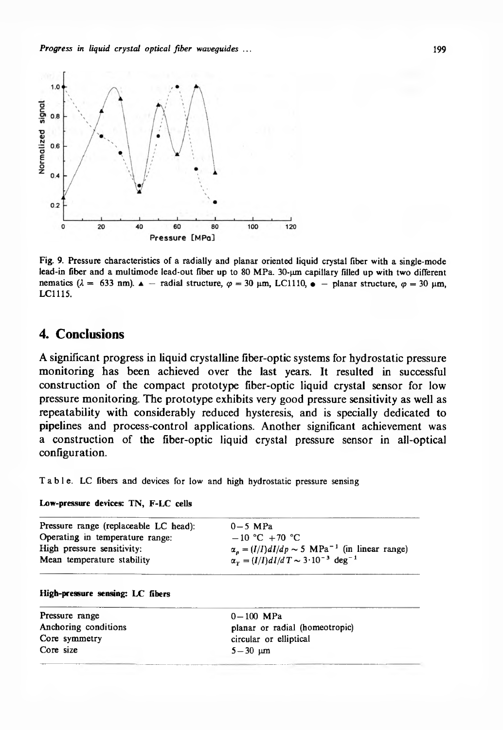

Fig. 9. Pressure characteristics of a radially and planar oriented liquid crystal fiber with a single-mode lead-in fiber and a multimode lead-out fiber up to 80 MPa. 30-um capillary filled up with two different nematics ( $\lambda = 633$  nm).  $\Delta$  – radial structure,  $\varphi = 30$  pm, LC1110,  $\bullet$  – planar structure,  $\varphi = 30$  pm, LC1115.

### **4. Conclusions**

A significant progress in liquid crystalline fiber-optic systems for hydrostatic pressure monitoring has been achieved over the last years. It resulted in successful construction of the compact prototype fiber-optic liquid crystal sensor for low pressure monitoring. The prototype exhibits very good pressure sensitivity as well as repeatability with considerably reduced hysteresis, and is specially dedicated to pipelines and process-control applications. Another significant achievement was a construction of the fiber-optic liquid crystal pressure sensor in all-optical configuration.

Table. LC fibers and devices for low and high hydrostatic pressure sensing

#### **Low-pressure devices: TN, F-LC cells**

| Pressure range (replaceable LC head): | $0-5$ MPa                                                         |
|---------------------------------------|-------------------------------------------------------------------|
| Operating in temperature range:       | $-10$ °C $+70$ °C                                                 |
| High pressure sensitivity:            | $\alpha_p = (I/I)dI/dp \sim 5 \text{ MPa}^{-1}$ (in linear range) |
| Mean temperature stability            | $\alpha_T = (I/I)dI/dT \sim 3 \cdot 10^{-3}$ deg <sup>-1</sup>    |
|                                       |                                                                   |

#### **High-pressure sensing: LC fibers**

| Pressure range       | $0 - 100$ MPa                  |
|----------------------|--------------------------------|
| Anchoring conditions | planar or radial (homeotropic) |
| Core symmetry        | circular or elliptical         |
| Core size            | $5 - 30$ um                    |